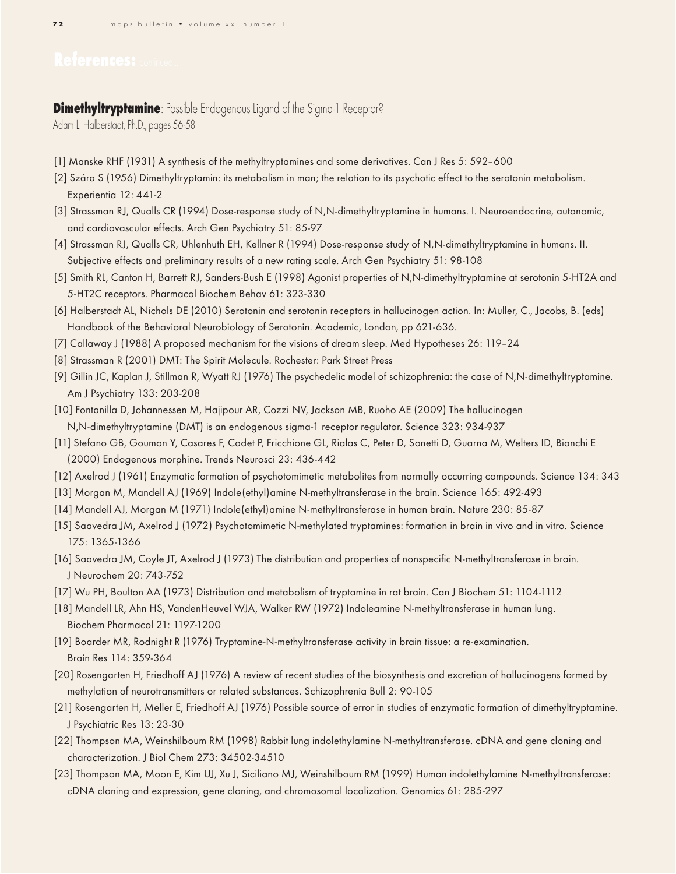## **Dimethyltryptamine**: Possible Endogenous Ligand of the Sigma-1 Receptor?

Adam L. Halberstadt, Ph.D., pages 56-58

- [1] Manske RHF (1931) A synthesis of the methyltryptamines and some derivatives. Can J Res 5: 592–600
- [2] Szára S (1956) Dimethyltryptamin: its metabolism in man; the relation to its psychotic effect to the serotonin metabolism. Experientia 12: 441-2
- [3] Strassman RJ, Qualls CR (1994) Dose-response study of N,N-dimethyltryptamine in humans. I. Neuroendocrine, autonomic, and cardiovascular effects. Arch Gen Psychiatry 51: 85-97
- [4] Strassman RJ, Qualls CR, Uhlenhuth EH, Kellner R (1994) Dose-response study of N,N-dimethyltryptamine in humans. II. Subjective effects and preliminary results of a new rating scale. Arch Gen Psychiatry 51: 98-108
- [5] Smith RL, Canton H, Barrett RJ, Sanders-Bush E (1998) Agonist properties of N,N-dimethyltryptamine at serotonin 5-HT2A and 5-HT2C receptors. Pharmacol Biochem Behav 61: 323-330
- [6] Halberstadt AL, Nichols DE (2010) Serotonin and serotonin receptors in hallucinogen action. In: Muller, C., Jacobs, B. (eds) Handbook of the Behavioral Neurobiology of Serotonin. Academic, London, pp 621-636.
- [7] Callaway J (1988) A proposed mechanism for the visions of dream sleep. Med Hypotheses 26: 119–24
- [8] Strassman R (2001) DMT: The Spirit Molecule. Rochester: Park Street Press
- [9] Gillin JC, Kaplan J, Stillman R, Wyatt RJ (1976) The psychedelic model of schizophrenia: the case of N,N-dimethyltryptamine. Am J Psychiatry 133: 203-208
- [10] Fontanilla D, Johannessen M, Hajipour AR, Cozzi NV, Jackson MB, Ruoho AE (2009) The hallucinogen N,N-dimethyltryptamine (DMT) is an endogenous sigma-1 receptor regulator. Science 323: 934-937
- [11] Stefano GB, Goumon Y, Casares F, Cadet P, Fricchione GL, Rialas C, Peter D, Sonetti D, Guarna M, Welters ID, Bianchi E (2000) Endogenous morphine. Trends Neurosci 23: 436-442
- [12] Axelrod J (1961) Enzymatic formation of psychotomimetic metabolites from normally occurring compounds. Science 134: 343
- [13] Morgan M, Mandell AJ (1969) Indole(ethyl)amine N-methyltransferase in the brain. Science 165: 492-493
- [14] Mandell AJ, Morgan M (1971) Indole(ethyl)amine N-methyltransferase in human brain. Nature 230: 85-87
- [15] Saavedra JM, Axelrod J (1972) Psychotomimetic N-methylated tryptamines: formation in brain in vivo and in vitro. Science 175: 1365-1366
- [16] Saavedra JM, Coyle JT, Axelrod J (1973) The distribution and properties of nonspecific N-methyltransferase in brain. J Neurochem 20: 743-752
- [17] Wu PH, Boulton AA (1973) Distribution and metabolism of tryptamine in rat brain. Can J Biochem 51: 1104-1112
- [18] Mandell LR, Ahn HS, VandenHeuvel WJA, Walker RW (1972) Indoleamine N-methyltransferase in human lung. Biochem Pharmacol 21: 1197-1200
- [19] Boarder MR, Rodnight R (1976) Tryptamine-N-methyltransferase activity in brain tissue: a re-examination. Brain Res 114: 359-364
- [20] Rosengarten H, Friedhoff AJ (1976) A review of recent studies of the biosynthesis and excretion of hallucinogens formed by methylation of neurotransmitters or related substances. Schizophrenia Bull 2: 90-105
- [21] Rosengarten H, Meller E, Friedhoff AJ (1976) Possible source of error in studies of enzymatic formation of dimethyltryptamine. J Psychiatric Res 13: 23-30
- [22] Thompson MA, Weinshilboum RM (1998) Rabbit lung indolethylamine N-methyltransferase. cDNA and gene cloning and characterization. J Biol Chem 273: 34502-34510
- [23] Thompson MA, Moon E, Kim UJ, Xu J, Siciliano MJ, Weinshilboum RM (1999) Human indolethylamine N-methyltransferase: cDNA cloning and expression, gene cloning, and chromosomal localization. Genomics 61: 285-297